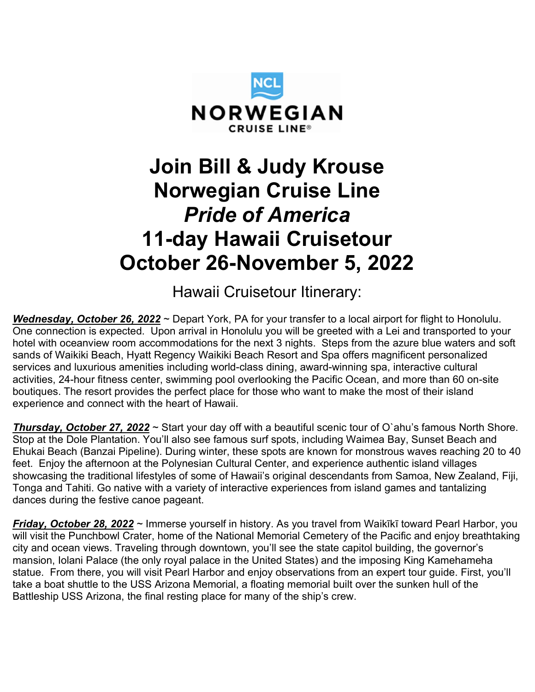

# Join Bill & Judy Krouse Norwegian Cruise Line Pride of America 11-day Hawaii Cruisetour October 26-November 5, 2022

Hawaii Cruisetour Itinerary:

Wednesday, October 26, 2022 ~ Depart York, PA for your transfer to a local airport for flight to Honolulu. One connection is expected. Upon arrival in Honolulu you will be greeted with a Lei and transported to your hotel with oceanview room accommodations for the next 3 nights. Steps from the azure blue waters and soft sands of Waikiki Beach, Hyatt Regency Waikiki Beach Resort and Spa offers magnificent personalized services and luxurious amenities including world-class dining, award-winning spa, interactive cultural activities, 24-hour fitness center, swimming pool overlooking the Pacific Ocean, and more than 60 on-site boutiques. The resort provides the perfect place for those who want to make the most of their island experience and connect with the heart of Hawaii.

Thursday, October 27, 2022 ~ Start your day off with a beautiful scenic tour of O'ahu's famous North Shore. Stop at the Dole Plantation. You'll also see famous surf spots, including Waimea Bay, Sunset Beach and Ehukai Beach (Banzai Pipeline). During winter, these spots are known for monstrous waves reaching 20 to 40 feet. Enjoy the afternoon at the Polynesian Cultural Center, and experience authentic island villages showcasing the traditional lifestyles of some of Hawaii's original descendants from Samoa, New Zealand, Fiji, Tonga and Tahiti. Go native with a variety of interactive experiences from island games and tantalizing dances during the festive canoe pageant.

Friday, October 28, 2022 ~ Immerse yourself in history. As you travel from Waikīkī toward Pearl Harbor, you will visit the Punchbowl Crater, home of the National Memorial Cemetery of the Pacific and enjoy breathtaking city and ocean views. Traveling through downtown, you'll see the state capitol building, the governor's mansion, Iolani Palace (the only royal palace in the United States) and the imposing King Kamehameha statue. From there, you will visit Pearl Harbor and enjoy observations from an expert tour guide. First, you'll take a boat shuttle to the USS Arizona Memorial, a floating memorial built over the sunken hull of the Battleship USS Arizona, the final resting place for many of the ship's crew.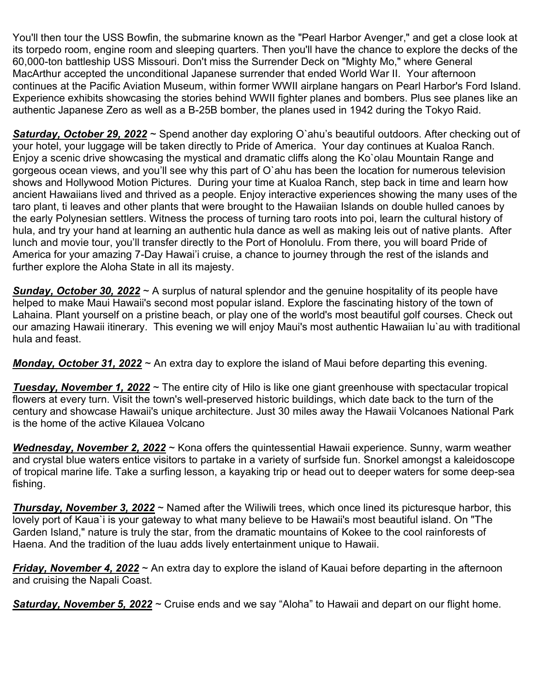You'll then tour the USS Bowfin, the submarine known as the "Pearl Harbor Avenger," and get a close look at its torpedo room, engine room and sleeping quarters. Then you'll have the chance to explore the decks of the 60,000-ton battleship USS Missouri. Don't miss the Surrender Deck on "Mighty Mo," where General MacArthur accepted the unconditional Japanese surrender that ended World War II. Your afternoon continues at the Pacific Aviation Museum, within former WWII airplane hangars on Pearl Harbor's Ford Island. Experience exhibits showcasing the stories behind WWII fighter planes and bombers. Plus see planes like an authentic Japanese Zero as well as a B-25B bomber, the planes used in 1942 during the Tokyo Raid.

Saturday, October 29, 2022 ~ Spend another day exploring O'ahu's beautiful outdoors. After checking out of your hotel, your luggage will be taken directly to Pride of America. Your day continues at Kualoa Ranch. Enjoy a scenic drive showcasing the mystical and dramatic cliffs along the Ko`olau Mountain Range and gorgeous ocean views, and you'll see why this part of O`ahu has been the location for numerous television shows and Hollywood Motion Pictures. During your time at Kualoa Ranch, step back in time and learn how ancient Hawaiians lived and thrived as a people. Enjoy interactive experiences showing the many uses of the taro plant, ti leaves and other plants that were brought to the Hawaiian Islands on double hulled canoes by the early Polynesian settlers. Witness the process of turning taro roots into poi, learn the cultural history of hula, and try your hand at learning an authentic hula dance as well as making leis out of native plants. After lunch and movie tour, you'll transfer directly to the Port of Honolulu. From there, you will board Pride of America for your amazing 7-Day Hawai'i cruise, a chance to journey through the rest of the islands and further explore the Aloha State in all its majesty.

**Sunday, October 30, 2022**  $\sim$  A surplus of natural splendor and the genuine hospitality of its people have helped to make Maui Hawaii's second most popular island. Explore the fascinating history of the town of Lahaina. Plant yourself on a pristine beach, or play one of the world's most beautiful golf courses. Check out our amazing Hawaii itinerary. This evening we will enjoy Maui's most authentic Hawaiian lu`au with traditional hula and feast.

Monday, October 31, 2022  $\sim$  An extra day to explore the island of Maui before departing this evening.

**Tuesday, November 1, 2022** ~ The entire city of Hilo is like one giant greenhouse with spectacular tropical flowers at every turn. Visit the town's well-preserved historic buildings, which date back to the turn of the century and showcase Hawaii's unique architecture. Just 30 miles away the Hawaii Volcanoes National Park is the home of the active Kilauea Volcano

Wednesday, November 2, 2022 ~ Kona offers the quintessential Hawaii experience. Sunny, warm weather and crystal blue waters entice visitors to partake in a variety of surfside fun. Snorkel amongst a kaleidoscope of tropical marine life. Take a surfing lesson, a kayaking trip or head out to deeper waters for some deep-sea fishing.

**Thursday, November 3, 2022** ~ Named after the Wiliwili trees, which once lined its picturesque harbor, this lovely port of Kaua`i is your gateway to what many believe to be Hawaii's most beautiful island. On "The Garden Island," nature is truly the star, from the dramatic mountains of Kokee to the cool rainforests of Haena. And the tradition of the luau adds lively entertainment unique to Hawaii.

**Friday, November 4, 2022**  $\sim$  An extra day to explore the island of Kauai before departing in the afternoon and cruising the Napali Coast.

Saturday, November 5, 2022 ~ Cruise ends and we say "Aloha" to Hawaii and depart on our flight home.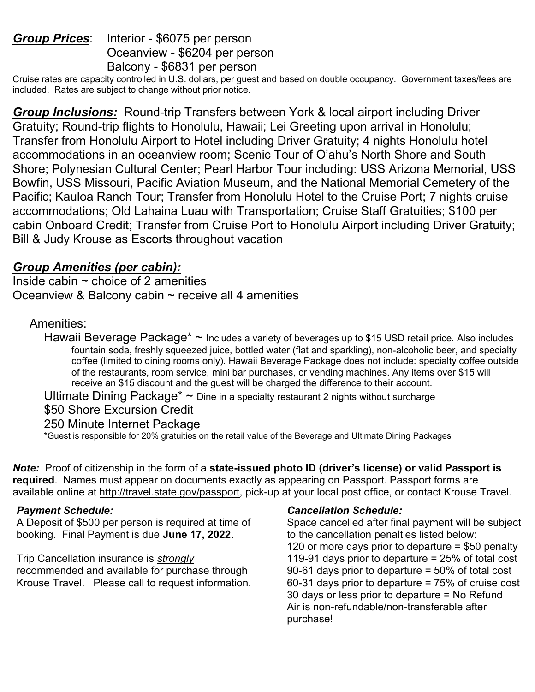# Group Prices: Interior - \$6075 per person Oceanview - \$6204 per person Balcony - \$6831 per person

Cruise rates are capacity controlled in U.S. dollars, per guest and based on double occupancy. Government taxes/fees are included. Rates are subject to change without prior notice.

**Group Inclusions:** Round-trip Transfers between York & local airport including Driver Gratuity; Round-trip flights to Honolulu, Hawaii; Lei Greeting upon arrival in Honolulu; Transfer from Honolulu Airport to Hotel including Driver Gratuity; 4 nights Honolulu hotel accommodations in an oceanview room; Scenic Tour of O'ahu's North Shore and South Shore; Polynesian Cultural Center; Pearl Harbor Tour including: USS Arizona Memorial, USS Bowfin, USS Missouri, Pacific Aviation Museum, and the National Memorial Cemetery of the Pacific; Kauloa Ranch Tour; Transfer from Honolulu Hotel to the Cruise Port; 7 nights cruise accommodations; Old Lahaina Luau with Transportation; Cruise Staff Gratuities; \$100 per cabin Onboard Credit; Transfer from Cruise Port to Honolulu Airport including Driver Gratuity; Bill & Judy Krouse as Escorts throughout vacation

# Group Amenities (per cabin):

Inside cabin  $\sim$  choice of 2 amenities Oceanview & Balcony cabin  $\sim$  receive all 4 amenities

# Amenities:

Hawaii Beverage Package\* ~ Includes a variety of beverages up to \$15 USD retail price. Also includes fountain soda, freshly squeezed juice, bottled water (flat and sparkling), non-alcoholic beer, and specialty coffee (limited to dining rooms only). Hawaii Beverage Package does not include: specialty coffee outside of the restaurants, room service, mini bar purchases, or vending machines. Any items over \$15 will receive an \$15 discount and the guest will be charged the difference to their account.

Ultimate Dining Package<sup>\*</sup>  $\sim$  Dine in a specialty restaurant 2 nights without surcharge

\$50 Shore Excursion Credit

250 Minute Internet Package

\*Guest is responsible for 20% gratuities on the retail value of the Beverage and Ultimate Dining Packages

Note: Proof of citizenship in the form of a state-issued photo ID (driver's license) or valid Passport is required. Names must appear on documents exactly as appearing on Passport. Passport forms are available online at http://travel.state.gov/passport, pick-up at your local post office, or contact Krouse Travel.

### Payment Schedule:

A Deposit of \$500 per person is required at time of booking. Final Payment is due June 17, 2022.

### Trip Cancellation insurance is strongly

recommended and available for purchase through Krouse Travel. Please call to request information.

### Cancellation Schedule:

Space cancelled after final payment will be subject to the cancellation penalties listed below: 120 or more days prior to departure = \$50 penalty 119-91 days prior to departure = 25% of total cost 90-61 days prior to departure = 50% of total cost 60-31 days prior to departure = 75% of cruise cost 30 days or less prior to departure = No Refund Air is non-refundable/non-transferable after purchase!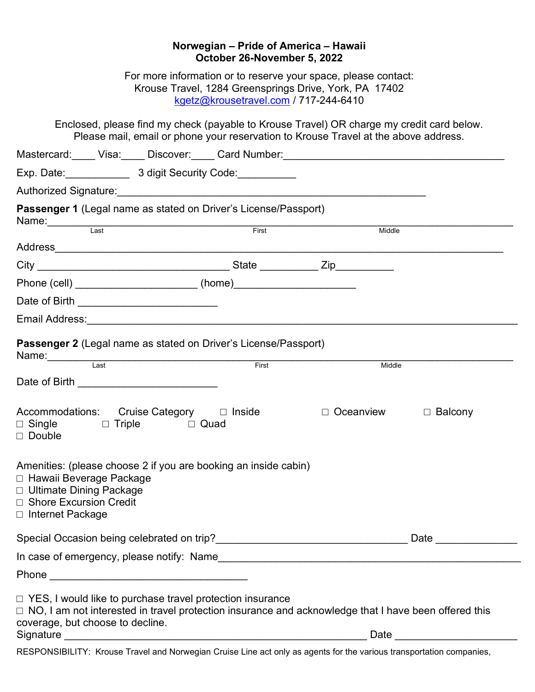| Norwegian - Pride of America - Hawaii<br>October 26-November 5, 2022                                                                                                                                                   |
|------------------------------------------------------------------------------------------------------------------------------------------------------------------------------------------------------------------------|
| For more information or to reserve your space, please contact:<br>Krouse Travel, 1284 Greensprings Drive, York, PA 17402<br>kgetz@krousetravel.com / 717-244-6410                                                      |
| Enclosed, please find my check (payable to Krouse Travel) OR charge my credit card below.<br>Please mail, email or phone your reservation to Krouse Travel at the above address.                                       |
| Mastercard: Visa: Discover: Card Number: 2008. And Discover: Card Number: 2008. All Allen Contains and Discover                                                                                                        |
|                                                                                                                                                                                                                        |
|                                                                                                                                                                                                                        |
| Passenger 1 (Legal name as stated on Driver's License/Passport)                                                                                                                                                        |
| Name: Last<br>First<br>Middle                                                                                                                                                                                          |
|                                                                                                                                                                                                                        |
|                                                                                                                                                                                                                        |
| Phone (cell) ___________________________ (home)_________________________________                                                                                                                                       |
|                                                                                                                                                                                                                        |
| Email Address: The Commission of the Commission of the Commission of the Commission of the Commission of the C                                                                                                         |
| <b>Passenger 2 (Legal name as stated on Driver's License/Passport)</b>                                                                                                                                                 |
| Last<br>First<br>Middle                                                                                                                                                                                                |
| Date of Birth <b>Exercise 2018</b>                                                                                                                                                                                     |
| Accommodations: Cruise Category □ Inside<br>$\Box$ Oceanview<br>$\Box$ Balcony<br>$\Box$ Single $\Box$ Triple $\Box$ Quad<br>$\Box$ Double                                                                             |
| Amenities: (please choose 2 if you are booking an inside cabin)<br>□ Hawaii Beverage Package<br>□ Ultimate Dining Package<br>□ Shore Excursion Credit<br>□ Internet Package                                            |
|                                                                                                                                                                                                                        |
|                                                                                                                                                                                                                        |
|                                                                                                                                                                                                                        |
| $\Box$ YES, I would like to purchase travel protection insurance<br>□ NO, I am not interested in travel protection insurance and acknowledge that I have been offered this<br>coverage, but choose to decline.<br>Date |
| RESPONSIBILITY: Krouse Travel and Norwegian Cruise Line act only as agents for the various transportation companies,                                                                                                   |